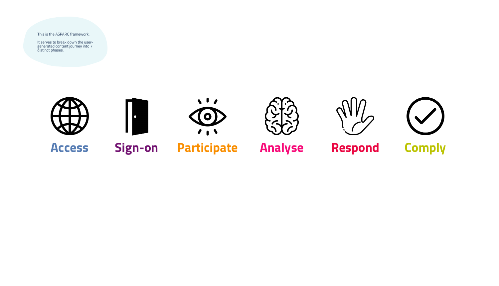This is the ASPARC framework.

It serves to break down the usergenerated content journey into 7 distinct phases.







# **Access Sign-on Participate Analyse Respond Comply**



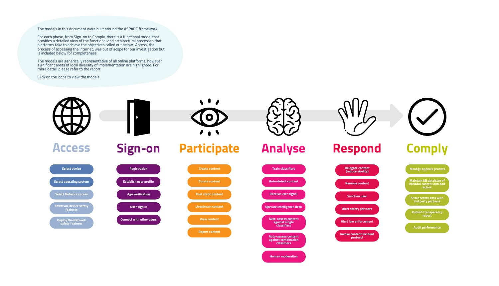







**Audit performance**

**Manage appeals process**

**Share safety data with 3rd party partners**

**Publish transparency report**

**Maintain MI database of harmful content and bad actors**





The models are generically representative of all online platforms, however significant areas of local diversity of implementation are highlighted. For more detail, please refer to the report.

The models in this document were built around the ASPARC framework.

For each phase, from Sign-on to Comply, there is a functional model that provides a detailed view of the functional and architectural processes that platforms take to achieve the objectives called out below. 'Access', the process of accessing the internet, was out of scope for our investigation but is included below for completeness.

Click on the icons to view the models.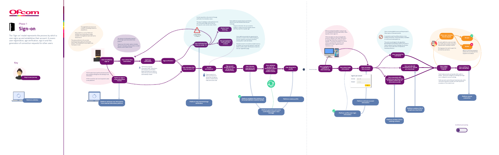**confirmation email or text message**





<span id="page-2-0"></span>

# Phase  $\mathbf{r}$ **Sign-on**



**Platform verifies user login information**



The 'Sign-on' model represents the process by which a user signs up and establishes their account. It covers user registration, age verification, sign in and the generation of connection requests for other users.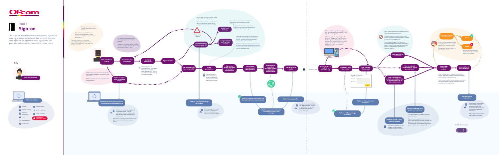<span id="page-3-0"></span>

# hase  $\prod_{i=1}^n$ **Sign-on**



The 'Sign-on' model represents the process by which a user signs up and establishes their account. It covers user registration, age verification, sign in and the generation of connection requests for other users.

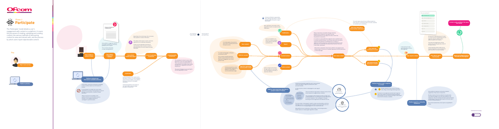



<span id="page-4-0"></span>





The 'Participate' model details a user's engagement with content on a platform. It covers the processes of creating, uploading and curating content, the various methods of discovering content to view and interact with, and the process by which users report objectionable content.

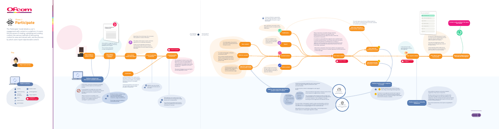

**Contract Contract Contract Contract** 



<span id="page-5-0"></span>



The 'Participate' model details a user's engagement with content on a platform. It covers the processes of creating, uploading and curating content, the various methods of discovering content to view and interact with, and the process by which users report objectionable content.

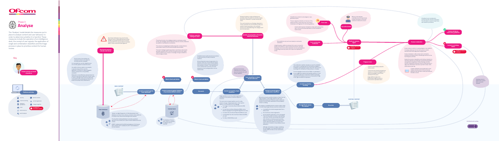### A feedback loop is maintained to communicate the outcome of decisions. The information is used to shape future harm detection procedures.



**Human moderation**

![](_page_7_Figure_23.jpeg)

**Content is violating: delete**

Human review is relied on to varying degrees cross-platform. It is always relied upon for the most nuanced, complex decisions that involve edge cases and grey areas.

Human moderation is often outsourced to contractors, sometimes working remotely in developing countries such as the Philippines and India.

Despite the provision of guidelines and training, moderation is inherently subjective as it depends on personal interpretation and application of guidelines. Political leanings and other cultural considerations have been known to sway decisions in edge cases. Moderators have been reported to make 1,500- 2,000 decisions per day.

![](_page_7_Picture_28.jpeg)

Content moderators are provided with a more  $\epsilon$  detailed, internal version of the community  $\leq$  guidelines that delineate in detail permitted and forbidden content.

**h** number of content **removals** 

Violating content is added to the content bank, to prevent reupload.

actors.

terrorist livestreams.

![](_page_7_Figure_21.jpeg)

Decisions from human moderators are a constant input into the data sets used

### [Architectural overlay](#page-6-0)

![](_page_7_Picture_33.jpeg)

![](_page_7_Figure_3.jpeg)

![](_page_7_Picture_0.jpeg)

![](_page_7_Picture_1.jpeg)

The 'Analyse' model details the measures put in place to analyse content and user behaviour in order to determine whether it is harmful. These measures include the operation of an intelligence desk, the receipt of user signals, the application of single and combination classifiers and the triage process in place to prioritise content for human review.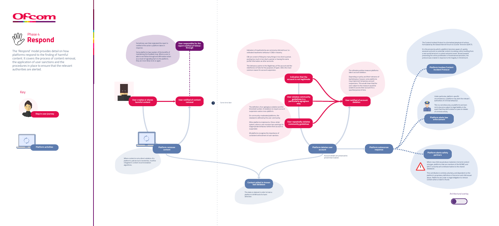Account details are preserved to prevent ban evasion.

![](_page_8_Picture_37.jpeg)

This data is retained in order to train a platform's AI/Ml tools for harm detection.

 $\sim 0.1$  $\sim$  0  $^{-1}$  $\sim 0.1$  $\sim$  0.11  $\sim$  0.11  $\sim$ 

Where new child sexual abuse material or terrorist content emerges, platforms that are members of the NCMEC and GIFCT consortia will contribute hashes to the shared databases.

This contribution is entirely voluntary, and dependent on the platform's proprietary definitions of terrorism and child sexual abuse. Platforms are under no legal obligation to remove content when a match is found.

**User repeatedly violates community guidelines**

**Indication that the account is not legitimate**

**User violates community guidelines in a particularly egregious way**

**User notified of account deletion**

**Content added to known bad database**

**Platform deletes user account**

**Platform outsources response**

> **Platform alerts safety partners**

**Platform invokes Content Incident Protocol**

The definition of an egriegious violation and the threshold number of violations to require account suspension varies cross-platform.

On community-moderated platforms, the standard is defined by the user community.

Other platforms implement a 'three-strike' system, where a user receives two warnings for inappropriate behaviour before their account is suspended.

All platforms recognise the importance of consistent enforcement of user sanction.

Indicators of inauthenticity are commonly referred to as 'coordinated inauthentic behaviour' (CIB) in industry.

CIB can consist of liking too many things in too short a period, posting too much in too short a period, or having the same profile information as other accounts.

This behaviour points to the illegitimacy of the account and the interference of bots for the purposes of spam. CIB is the most common reason for account suspension.

![](_page_8_Figure_6.jpeg)

The Content Incident Protocol is a formalised playbook of actions formulated by the Global Internet Forum to Counter Terrorism (GIFCT).

It is the process by which a platform becomes aware of, quickly assesses and acts on potential content ciruclating online resulting from a real-world terrorism or violent extremist event. Aimed towards preventing the online proliferation of livestreamed atrocities, the protocol was created in response to the tragedy in Christchurch.

> **Platform alerts law enforcement**

Under particular, platform-specific circumstances, a platform may alert the relevant authorities of criminal behaviour.

This is a sensitive area, as platforms are keen not to become subject to legal liability in the event that they fail to detect or pass on details of criminal activity.

**!**

The ultimate punitive measure platforms take is account deletion.

Depending on policy and their tolerance of bad behaviour howver, some platforms may implement temporary account suspensions. This would mean that the user subject to the measure would be unable to access their account for a specified period of time.

# [Architectural overlay](#page-9-0)

![](_page_8_Picture_30.jpeg)

<span id="page-8-0"></span>![](_page_8_Picture_0.jpeg)

![](_page_8_Picture_1.jpeg)

![](_page_8_Picture_3.jpeg)

The 'Respond' model provides detail on how platforms respond to the finding of harmful content. It covers the process of content removal, the application of user sanctions and the procedures in place to ensure that the relevant authorities are alerted.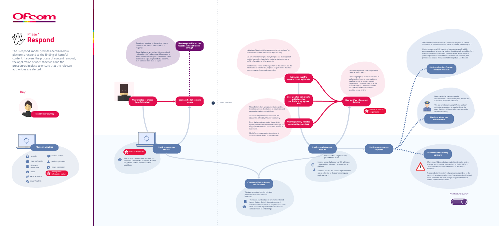Account details are preserved to prevent ban evasion.

This data is retained in order to train a platform's AI/Ml tools for harm detection.

ter.

Where new child sexual abuse material or terrorist content emerges, platforms that are members of the NCMEC and GIFCT consortia will contribute hashes to the shared databases.

This contribution is entirely voluntary, and dependent on the platform's proprietary definitions of terrorism and child sexual abuse. Platforms are under no legal obligation to remove content when a match is found.

# **Protection of the Common Contract of Common Common Common Common Common Common Common Common Common Common Commo Platform outsources response**

![](_page_9_Figure_5.jpeg)

 $\sim 0.1$  $\sim 0.01$  $\sim 0.01$  $\sim 0.01$  $\sim 0.01$  $\sim 0.1$  $\sim 0.1$  $\sim 0.01$  $\sim 0.01$  $\sim 0.01$  $\sim 0.01$  $\sim 0.01$  $\sim 0.01$  $\sim 0.1$ 

 $\sim 0.1$  $\sim 0.01$  $\sim 10^{-11}$  $\sim 0.01$ 

**Content added to known bad database**

**Platform deletes user account**

# **Platform alerts safety partners**

**Facebook operate the additional parameter of** cookie detection to check on returning and duplicate users.

Sometimes user that originated the report is notified of the action a platform takes in response. Some platforms have spoken of the benefits of maintaining this feedback loop. Where a user is able to see follow through and affirmative action as a result of signalling harm to the platform, they are more likely to do so again. **User creates or shares harmful content**  $\cdot$  . **i number of removals** Where content is not a direct violation of a<br>platform's policies but is bordading the divide platform's policies but is borderline, it will be relegated in content recommendation algorithms.

**User notified of account deletion Platform invokes Content Incident Protocol Platform alerts law enforcement** Under particular, platform-specific circumstances, a platform may alert the relevant authorities of criminal behaviour. This is a sensitive area, as platforms are keen not to become subject to legal liability in the event that they fail to detect or pass on details of criminal activity. **number of account i**<br>suspensions The ultimate punitive measure platforms take is account deletion. Depending on policy and their tolerance of bad behaviour howver, some platforms may implement temporary account suspensions. This would mean that the user subject to the measure would be unable to access their account for a specified period of time.

In some cases, platforms record IP addresses to prevent banned users from rejoining the<br>platform platform.

The Content Incident Protocol is a formalised playbook of actions formulated by the Global Internet Forum to Counter Terrorism (GIFCT).

It is the process by which a platform becomes aware of, quickly assesses and acts on potential content ciruclating online resulting from a real-world terrorism or violent extremist event. Aimed towards preventing the online proliferation of livestreamed atrocities, the protocol was created in response to the tragedy in Christchurch.

The known bad database is sometimes referred to as a Content Bank. It does not necessarily contain the bad content in its original form - more often it contains digital representations of the content known as embeddings.

# [Architectural overlay](#page-8-0)

![](_page_9_Picture_23.jpeg)

**!**

![](_page_9_Figure_3.jpeg)

<span id="page-9-0"></span>![](_page_9_Picture_0.jpeg)

![](_page_9_Picture_1.jpeg)

The 'Respond' model provides detail on how platforms respond to the finding of harmful content. It covers the process of content removal, the application of user sanctions and the procedures in place to ensure that the relevant authorities are alerted.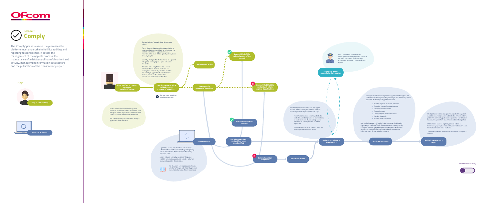One particular platform is leading in the creation and publication of prevalence statistics. This is the most accurate measure of the efficacy of content moderation processes, as it uses randomised sampling to account for harmful content that is not currently

Management information is gathered by platforms throughout the content moderation regime. This gives insight into the efficacy of their processes. Metrics typically gathered include:

- **•** Number of pieces of content removed **•** Detection source of removed content
- **•** Views of removed content
- **•** Removal reason
- **Country/Region of removed videos**
- Number of appeals
- **•** Number of reinstatements

**Publish transparency report**

Several platforms have been leaning more heavily on automated content assessment tools during the COVID-19 pandemic, due to the need to send in-house content moderators home.

![](_page_10_Picture_4.jpeg)

**removal/ misclassification**

![](_page_10_Figure_21.jpeg)

**User appeals** 

**moderator's decision** 

**User takes no action**

**content** 

**Human review**

**Decision overruled, content has been misclassified**

**content**

This document serves as a comprehensive collection of the precedents set by previous decisions and a record of evolving policies.

![](_page_10_Figure_13.jpeg)

 $\bullet\bullet\bullet$ 

A more detailed, descriptive version of the publicly available community guidelines is provided to human reviewers to assist in their decision.

![](_page_10_Picture_19.jpeg)

Appeals are usually sent directly to human review. Automated tools are far from matching or surpassing human capabilities in the assessment of complex, contextual cases.

This has temporarily increased the quantity of appeals and reinstatements.

Most platforms publish transparency reports. These publicly available resources provide insight into the enforcement of a platform's community guidelines, requests for user data and takedown requests from law enforcement and third parties.

Platforms are under no legal obligation to publish a transparency report, but it is a widely accepted industry norm that fosters trust in online platforms.

Transparency reports are published annually on a company's website.

The availability of appeal is dependent on two things.

Firstly, the type of violation. Removals relating to child sexual abuse material and terrorist content for instance would not be appealable, however removals on the basis of hate speech policies, spam or nudity may be.

Secondly, the type of content removed. As a general rule, posts, profile, page and group removal is appealable.

There are some exceptions to this, however. On one particular platform involved in our investigation for example, users are given the opportunity to appeal the deactivation of an account, but are unable to appeal the removal of individual pieces of content.

[Architectural overlay](#page-11-0)

![](_page_10_Picture_37.jpeg)

<span id="page-10-0"></span>![](_page_10_Picture_0.jpeg)

![](_page_10_Picture_1.jpeg)

![](_page_10_Figure_3.jpeg)

The 'Comply' phase involves the processes the platform must undertake to fulfil its auditing and reporting responsibilities. It covers the management of the appeals process, the maintenance of a database of harmful content and activity, management information data capture and the publication of the transparency report.